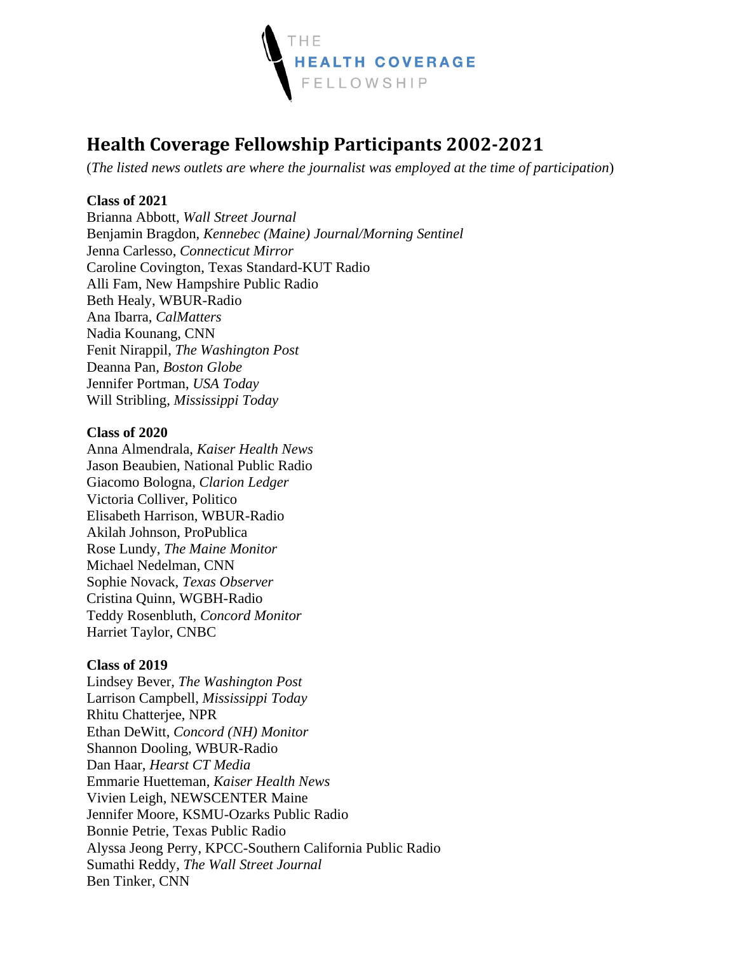

# **Health Coverage Fellowship Participants 2002-2021**

(*The listed news outlets are where the journalist was employed at the time of participation*)

# **Class of 2021**

Brianna Abbott, *Wall Street Journal* Benjamin Bragdon, *Kennebec (Maine) Journal/Morning Sentinel* Jenna Carlesso, *Connecticut Mirror* Caroline Covington, Texas Standard-KUT Radio Alli Fam, New Hampshire Public Radio Beth Healy, WBUR-Radio Ana Ibarra, *CalMatters* Nadia Kounang, CNN Fenit Nirappil, *The Washington Post* Deanna Pan, *Boston Globe* Jennifer Portman, *USA Today* Will Stribling, *Mississippi Today*

# **Class of 2020**

Anna Almendrala, *Kaiser Health News* Jason Beaubien, National Public Radio Giacomo Bologna, *Clarion Ledger* Victoria Colliver, Politico Elisabeth Harrison, WBUR-Radio Akilah Johnson, ProPublica Rose Lundy, *The Maine Monitor* Michael Nedelman, CNN Sophie Novack, *Texas Observer* Cristina Quinn, WGBH-Radio Teddy Rosenbluth, *Concord Monitor* Harriet Taylor, CNBC

# **Class of 2019**

Lindsey Bever, *The Washington Post* Larrison Campbell, *Mississippi Today* Rhitu Chatterjee, NPR Ethan DeWitt, *Concord (NH) Monitor* Shannon Dooling, WBUR-Radio Dan Haar, *Hearst CT Media* Emmarie Huetteman, *Kaiser Health News* Vivien Leigh, NEWSCENTER Maine Jennifer Moore, KSMU-Ozarks Public Radio Bonnie Petrie, Texas Public Radio Alyssa Jeong Perry, KPCC-Southern California Public Radio Sumathi Reddy, *The Wall Street Journal* Ben Tinker, CNN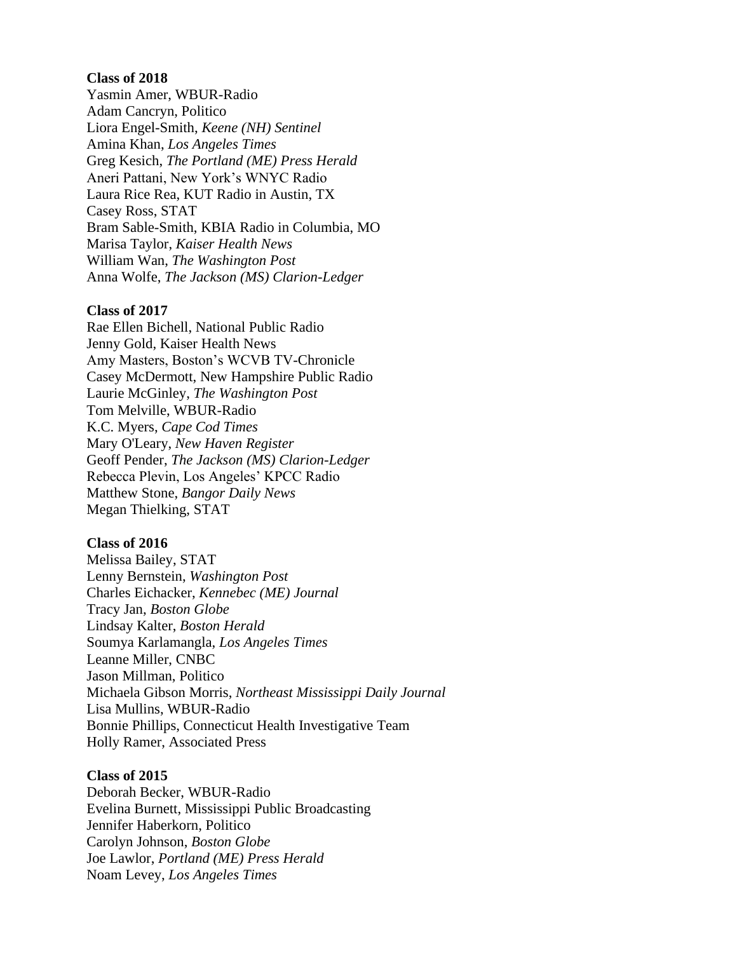Yasmin Amer, WBUR-Radio Adam Cancryn, Politico Liora Engel-Smith, *Keene (NH) Sentinel* Amina Khan, *Los Angeles Times* Greg Kesich, *The Portland (ME) Press Herald* Aneri Pattani, New York's WNYC Radio Laura Rice Rea, KUT Radio in Austin, TX Casey Ross, STAT Bram Sable-Smith, KBIA Radio in Columbia, MO Marisa Taylor, *Kaiser Health News* William Wan, *The Washington Post* Anna Wolfe, *The Jackson (MS) Clarion-Ledger*

## **Class of 2017**

Rae Ellen Bichell, National Public Radio Jenny Gold, Kaiser Health News Amy Masters, Boston's WCVB TV-Chronicle Casey McDermott, New Hampshire Public Radio Laurie McGinley, *The Washington Post* Tom Melville, WBUR-Radio K.C. Myers, *Cape Cod Times* Mary O'Leary, *New Haven Register* Geoff Pender, *The Jackson (MS) Clarion-Ledger* Rebecca Plevin, Los Angeles' KPCC Radio Matthew Stone, *Bangor Daily News* Megan Thielking, STAT

#### **Class of 2016**

Melissa Bailey, STAT Lenny Bernstein, *Washington Post* Charles Eichacker, *Kennebec (ME) Journal* Tracy Jan, *Boston Globe* Lindsay Kalter, *Boston Herald* Soumya Karlamangla, *Los Angeles Times* Leanne Miller, CNBC Jason Millman, Politico Michaela Gibson Morris, *Northeast Mississippi Daily Journal* Lisa Mullins, WBUR-Radio Bonnie Phillips, Connecticut Health Investigative Team Holly Ramer, Associated Press

## **Class of 2015**

Deborah Becker, WBUR-Radio Evelina Burnett, Mississippi Public Broadcasting Jennifer Haberkorn, Politico Carolyn Johnson, *Boston Globe* Joe Lawlor, *Portland (ME) Press Herald* Noam Levey, *Los Angeles Times*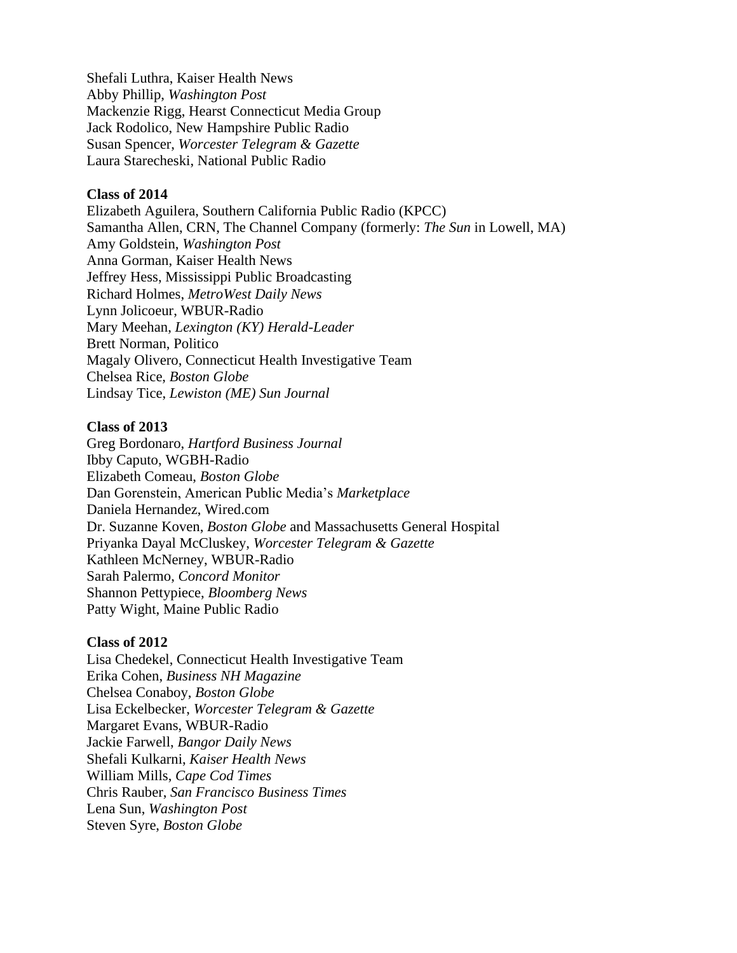Shefali Luthra, Kaiser Health News Abby Phillip, *Washington Post* Mackenzie Rigg, Hearst Connecticut Media Group Jack Rodolico, New Hampshire Public Radio Susan Spencer, *Worcester Telegram & Gazette* Laura Starecheski, National Public Radio

# **Class of 2014**

Elizabeth Aguilera, Southern California Public Radio (KPCC) Samantha Allen, CRN, The Channel Company (formerly: *The Sun* in Lowell, MA) Amy Goldstein, *Washington Post* Anna Gorman, Kaiser Health News Jeffrey Hess, Mississippi Public Broadcasting Richard Holmes, *MetroWest Daily News* Lynn Jolicoeur, WBUR-Radio Mary Meehan, *Lexington (KY) Herald-Leader* Brett Norman, Politico Magaly Olivero, Connecticut Health Investigative Team Chelsea Rice, *Boston Globe* Lindsay Tice, *Lewiston (ME) Sun Journal*

# **Class of 2013**

Greg Bordonaro, *Hartford Business Journal* Ibby Caputo, WGBH-Radio Elizabeth Comeau, *Boston Globe* Dan Gorenstein, American Public Media's *Marketplace* Daniela Hernandez, Wired.com Dr. Suzanne Koven, *Boston Globe* and Massachusetts General Hospital Priyanka Dayal McCluskey, *Worcester Telegram & Gazette* Kathleen McNerney, WBUR-Radio Sarah Palermo, *Concord Monitor* Shannon Pettypiece, *Bloomberg News* Patty Wight, Maine Public Radio

#### **Class of 2012**

Lisa Chedekel, Connecticut Health Investigative Team Erika Cohen, *Business NH Magazine* Chelsea Conaboy, *Boston Globe* Lisa Eckelbecker, *Worcester Telegram & Gazette* Margaret Evans, WBUR-Radio Jackie Farwell, *Bangor Daily News* Shefali Kulkarni, *Kaiser Health News* William Mills, *Cape Cod Times* Chris Rauber, *San Francisco Business Times* Lena Sun, *Washington Post* Steven Syre, *Boston Globe*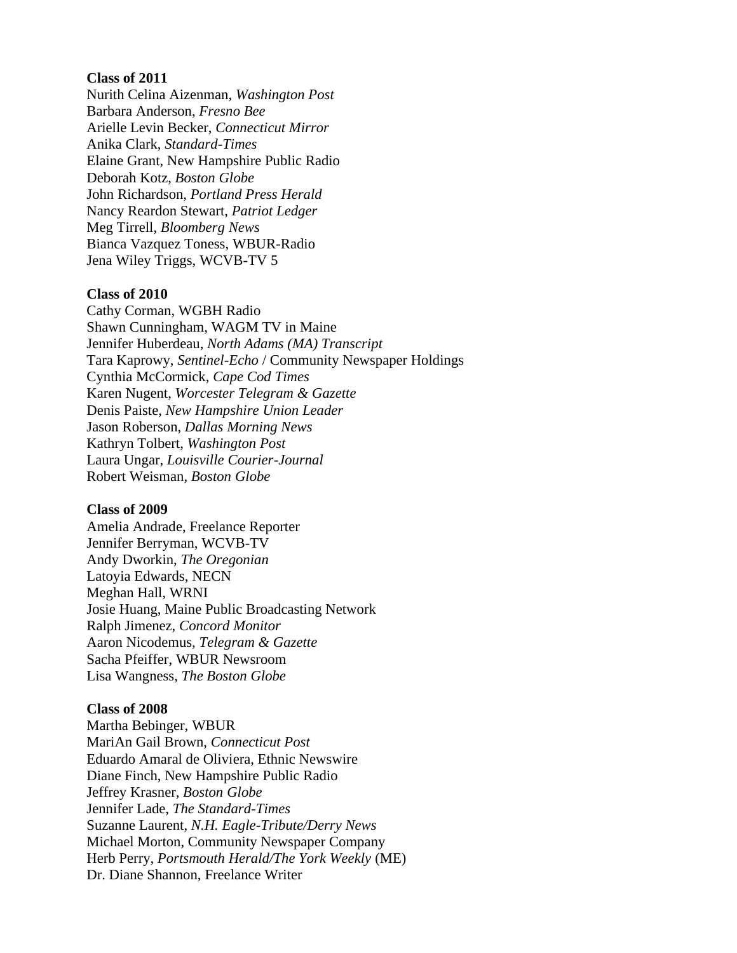Nurith Celina Aizenman, *Washington Post*  Barbara Anderson, *Fresno Bee* Arielle Levin Becker, *Connecticut Mirror* Anika Clark, *Standard-Times* Elaine Grant, New Hampshire Public Radio Deborah Kotz, *Boston Globe*  John Richardson, *Portland Press Herald* Nancy Reardon Stewart, *Patriot Ledger* Meg Tirrell, *Bloomberg News* Bianca Vazquez Toness, WBUR-Radio Jena Wiley Triggs, WCVB-TV 5

#### **Class of 2010**

Cathy Corman, WGBH Radio Shawn Cunningham, WAGM TV in Maine Jennifer Huberdeau, *North Adams (MA) Transcript* Tara Kaprowy, *Sentinel-Echo* / Community Newspaper Holdings Cynthia McCormick, *Cape Cod Times* Karen Nugent, *Worcester Telegram & Gazette* Denis Paiste, *New Hampshire Union Leader* Jason Roberson, *Dallas Morning News* Kathryn Tolbert, *Washington Post* Laura Ungar, *Louisville Courier-Journal* Robert Weisman, *Boston Globe*

#### **Class of 2009**

Amelia Andrade, Freelance Reporter Jennifer Berryman, WCVB-TV Andy Dworkin, *The Oregonian* Latoyia Edwards, NECN Meghan Hall, WRNI Josie Huang, Maine Public Broadcasting Network Ralph Jimenez, *Concord Monitor* Aaron Nicodemus, *Telegram & Gazette* Sacha Pfeiffer, WBUR Newsroom Lisa Wangness, *The Boston Globe*

#### **Class of 2008**

Martha Bebinger, WBUR MariAn Gail Brown, *Connecticut Post* Eduardo Amaral de Oliviera, Ethnic Newswire Diane Finch, New Hampshire Public Radio Jeffrey Krasner, *Boston Globe* Jennifer Lade, *The Standard-Times* Suzanne Laurent, *N.H. Eagle-Tribute/Derry News* Michael Morton, Community Newspaper Company Herb Perry, *Portsmouth Herald/The York Weekly* (ME) Dr. Diane Shannon, Freelance Writer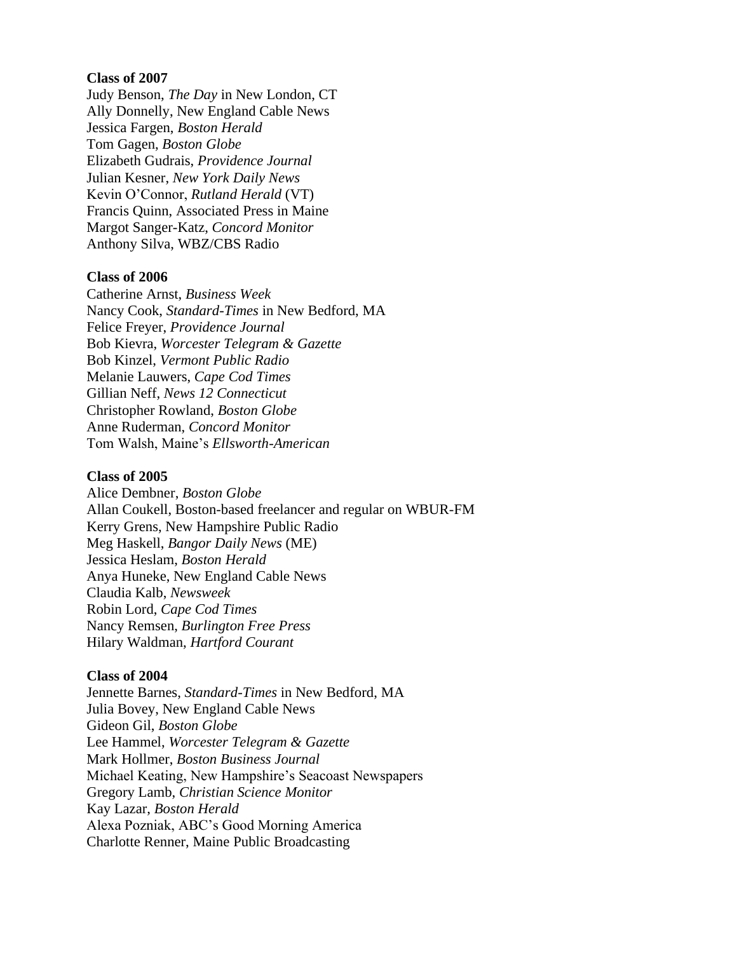Judy Benson, *The Day* in New London, CT Ally Donnelly, New England Cable News Jessica Fargen, *Boston Herald* Tom Gagen, *Boston Globe* Elizabeth Gudrais, *Providence Journal* Julian Kesner, *New York Daily News* Kevin O'Connor, *Rutland Herald* (VT) Francis Quinn, Associated Press in Maine Margot Sanger-Katz, *Concord Monitor* Anthony Silva, WBZ/CBS Radio

## **Class of 2006**

Catherine Arnst, *Business Week* Nancy Cook, *Standard-Times* in New Bedford, MA Felice Freyer, *Providence Journal* Bob Kievra, *Worcester Telegram & Gazette* Bob Kinzel, *Vermont Public Radio* Melanie Lauwers, *Cape Cod Times* Gillian Neff, *News 12 Connecticut* Christopher Rowland, *Boston Globe* Anne Ruderman, *Concord Monitor* Tom Walsh, Maine's *Ellsworth-American*

## **Class of 2005**

Alice Dembner, *Boston Globe* Allan Coukell, Boston-based freelancer and regular on WBUR-FM Kerry Grens, New Hampshire Public Radio Meg Haskell, *Bangor Daily News* (ME) Jessica Heslam, *Boston Herald* Anya Huneke, New England Cable News Claudia Kalb, *Newsweek* Robin Lord, *Cape Cod Times* Nancy Remsen, *Burlington Free Press* Hilary Waldman, *Hartford Courant*

## **Class of 2004**

Jennette Barnes, *Standard-Times* in New Bedford, MA Julia Bovey, New England Cable News Gideon Gil, *Boston Globe* Lee Hammel, *Worcester Telegram & Gazette* Mark Hollmer, *Boston Business Journal* Michael Keating, New Hampshire's Seacoast Newspapers Gregory Lamb, *Christian Science Monitor* Kay Lazar, *Boston Herald* Alexa Pozniak, ABC's Good Morning America Charlotte Renner, Maine Public Broadcasting